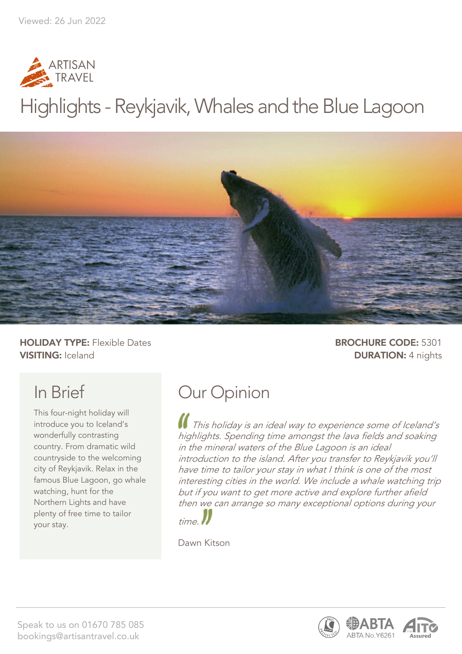

# Highlights - Reykjavik, Whales and the Blue Lagoon



**HOLIDAY TYPE:** Flexible Dates **BROCHURE CODE:** 5301 **VISITING:** Iceland **DURATION:** 4 nights

## In Brief

This four-night holiday will introduce you to Iceland's wonderfully contrasting country. From dramatic wild countryside to the welcoming city of Reykjavik. Relax in the famous Blue Lagoon, go whale watching, hunt for the Northern Lights and have plenty of free time to tailor your stay.

## Our Opinion

This holiday is an ideal way to experience some of Iceland's highlights. Spending time amongst the lava fields and soaking in the mineral waters of the Blue Lagoon is an ideal introduction to the island. After you transfer to Reykjavik you'll have time to tailor your stay in what I think is one of the most interesting cities in the world. We include a whale watching trip but if you want to get more active and explore further afield then we can arrange so many exceptional options during your



Dawn Kitson

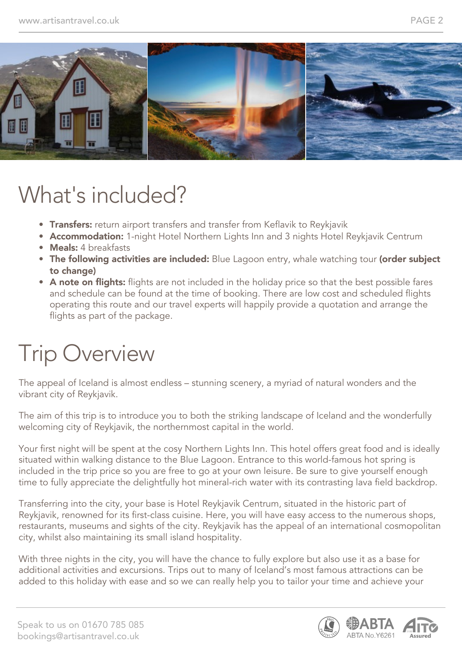

# What's included?

- Transfers: return airport transfers and transfer from Keflavik to Reykjavik
- Accommodation: 1-night Hotel Northern Lights Inn and 3 nights Hotel Reykjavik Centrum
- Meals: 4 breakfasts
- The following activities are included: Blue Lagoon entry, whale watching tour (order subject to change)
- A note on flights: flights are not included in the holiday price so that the best possible fares and schedule can be found at the time of booking. There are low cost and scheduled flights operating this route and our travel experts will happily provide a quotation and arrange the flights as part of the package.

# Trip Overview

The appeal of Iceland is almost endless – stunning scenery, a myriad of natural wonders and the vibrant city of Reykjavik.

The aim of this trip is to introduce you to both the striking landscape of Iceland and the wonderfully welcoming city of Reykjavik, the northernmost capital in the world.

Your first night will be spent at the cosy Northern Lights Inn. This hotel offers great food and is ideally situated within walking distance to the Blue Lagoon. Entrance to this world-famous hot spring is included in the trip price so you are free to go at your own leisure. Be sure to give yourself enough time to fully appreciate the delightfully hot mineral-rich water with its contrasting lava field backdrop.

Transferring into the city, your base is Hotel Reykjavik Centrum, situated in the historic part of Reykjavik, renowned for its first-class cuisine. Here, you will have easy access to the numerous shops, restaurants, museums and sights of the city. Reykjavik has the appeal of an international cosmopolitan city, whilst also maintaining its small island hospitality.

With three nights in the city, you will have the chance to fully explore but also use it as a base for additional activities and excursions. Trips out to many of Iceland's most famous attractions can be added to this holiday with ease and so we can really help you to tailor your time and achieve your

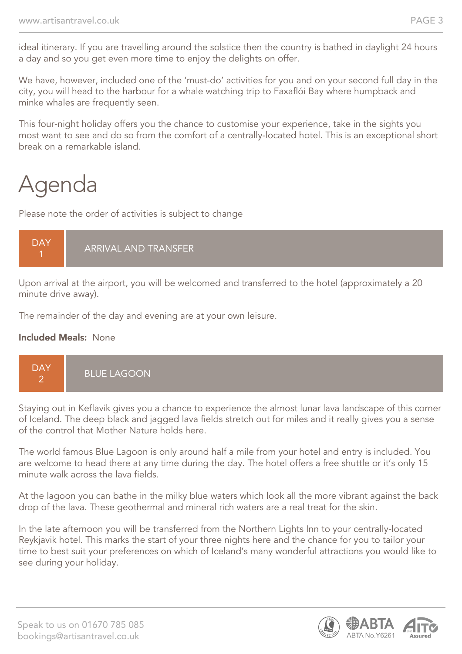ideal itinerary. If you are travelling around the solstice then the country is bathed in daylight 24 hours a day and so you get even more time to enjoy the delights on offer.

We have, however, included one of the 'must-do' activities for you and on your second full day in the city, you will head to the harbour for a whale watching trip to Faxaflói Bay where humpback and minke whales are frequently seen.

This four-night holiday offers you the chance to customise your experience, take in the sights you most want to see and do so from the comfort of a centrally-located hotel. This is an exceptional short break on a remarkable island.

# Agenda

Please note the order of activities is subject to change

#### **DAY** 1 ARRIVAL AND TRANSFER

Upon arrival at the airport, you will be welcomed and transferred to the hotel (approximately a 20 minute drive away).

The remainder of the day and evening are at your own leisure.

#### Included Meals: None



Staying out in Keflavik gives you a chance to experience the almost lunar lava landscape of this corner of Iceland. The deep black and jagged lava fields stretch out for miles and it really gives you a sense of the control that Mother Nature holds here.

The world famous Blue Lagoon is only around half a mile from your hotel and entry is included. You are welcome to head there at any time during the day. The hotel offers a free shuttle or it's only 15 minute walk across the lava fields.

At the lagoon you can bathe in the milky blue waters which look all the more vibrant against the back drop of the lava. These geothermal and mineral rich waters are a real treat for the skin.

In the late afternoon you will be transferred from the Northern Lights Inn to your centrally-located Reykjavik hotel. This marks the start of your three nights here and the chance for you to tailor your time to best suit your preferences on which of Iceland's many wonderful attractions you would like to see during your holiday.

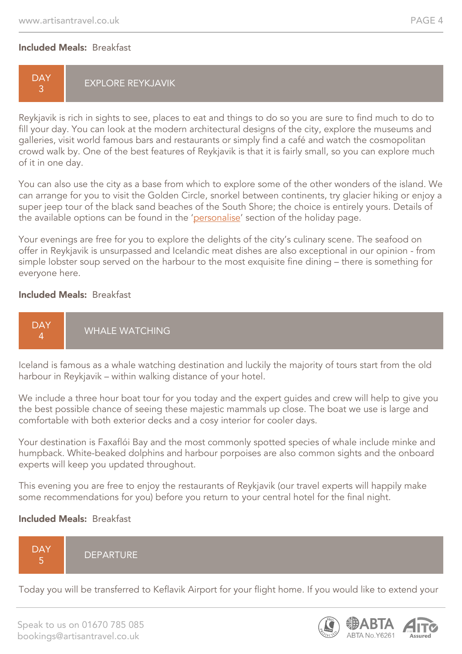#### Included Meals: Breakfast

#### **DAY** 3 EXPLORE REYKJAVIK

Reykjavik is rich in sights to see, places to eat and things to do so you are sure to find much to do to fill your day. You can look at the modern architectural designs of the city, explore the museums and galleries, visit world famous bars and restaurants or simply find a café and watch the cosmopolitan crowd walk by. One of the best features of Reykjavik is that it is fairly small, so you can explore much of it in one day.

You can also use the city as a base from which to explore some of the other wonders of the island. We can arrange for you to visit the Golden Circle, snorkel between continents, try glacier hiking or enjoy a super jeep tour of the black sand beaches of the South Shore; the choice is entirely yours. Details of the available options can be found in the 'personalise' section of the holiday page.

Your evenings are free for you to explore the delights of the city's culinary scene. The seafood on offer in Reykjavik is unsurpassed and Icelandic meat dishes are also exceptional in our opinion - from simple lobster soup served on the harbour to the most exquisite fine dining – there is something for everyone here.

#### Included Meals: Breakfast



Iceland is famous as a whale watching destination and luckily the majority of tours start from the old harbour in Reykjavik – within walking distance of your hotel.

We include a three hour boat tour for you today and the expert quides and crew will help to give you the best possible chance of seeing these majestic mammals up close. The boat we use is large and comfortable with both exterior decks and a cosy interior for cooler days.

Your destination is Faxaflói Bay and the most commonly spotted species of whale include minke and humpback. White-beaked dolphins and harbour porpoises are also common sights and the onboard experts will keep you updated throughout.

This evening you are free to enjoy the restaurants of Reykjavik (our travel experts will happily make some recommendations for you) before you return to your central hotel for the final night.

#### Included Meals: Breakfast

**DAY** 5 **DEPARTURE** 

Today you will be transferred to Keflavik Airport for your flight home. If you would like to extend your

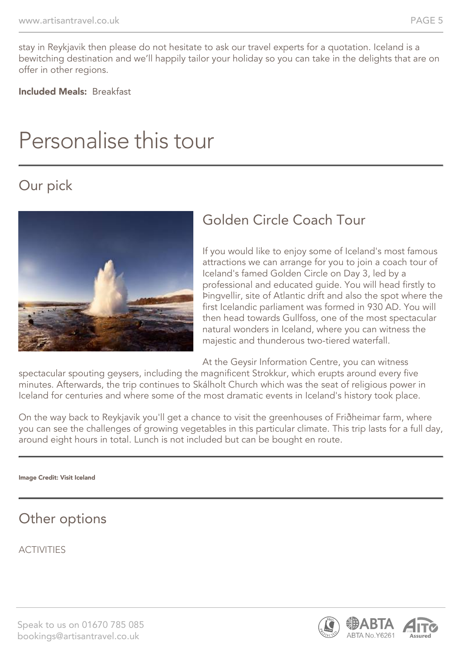stay in Reykjavik then please do not hesitate to ask our travel experts for a quotation. Iceland is a bewitching destination and we'll happily tailor your holiday so you can take in the delights that are on offer in other regions.

Included Meals: Breakfast

## Personalise this tour

## Our pick



## Golden Circle Coach Tour

If you would like to enjoy some of Iceland's most famous attractions we can arrange for you to join a coach tour of Iceland's famed Golden Circle on Day 3, led by a professional and educated guide. You will head firstly to Þingvellir, site of Atlantic drift and also the spot where the first Icelandic parliament was formed in 930 AD. You will then head towards Gullfoss, one of the most spectacular natural wonders in Iceland, where you can witness the majestic and thunderous two-tiered waterfall.

At the Geysir Information Centre, you can witness

spectacular spouting geysers, including the magnificent Strokkur, which erupts around every five minutes. Afterwards, the trip continues to Skálholt Church which was the seat of religious power in Iceland for centuries and where some of the most dramatic events in Iceland's history took place.

On the way back to Reykjavik you'll get a chance to visit the greenhouses of Friðheimar farm, where you can see the challenges of growing vegetables in this particular climate. This trip lasts for a full day, around eight hours in total. Lunch is not included but can be bought en route.

#### Image Credit: Visit Iceland

### Other options

**ACTIVITIES** 

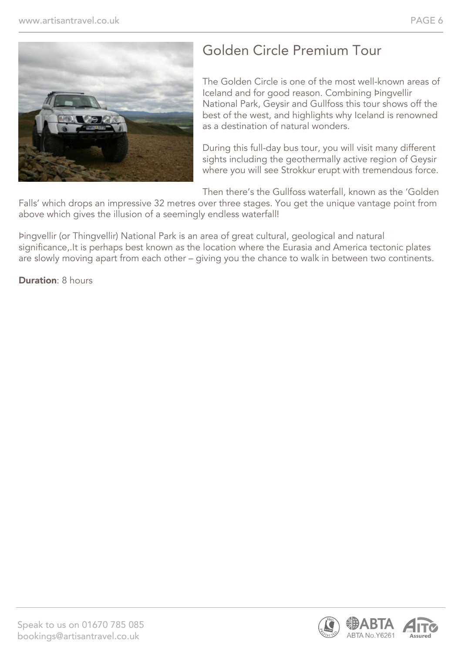

## Golden Circle Premium Tour

The Golden Circle is one of the most well-known areas of Iceland and for good reason. Combining Þingvellir National Park, Geysir and Gullfoss this tour shows off the best of the west, and highlights why Iceland is renowned as a destination of natural wonders.

During this full-day bus tour, you will visit many different sights including the geothermally active region of Geysir where you will see Strokkur erupt with tremendous force.

Then there's the Gullfoss waterfall, known as the 'Golden

Falls' which drops an impressive 32 metres over three stages. You get the unique vantage point from above which gives the illusion of a seemingly endless waterfall!

Þingvellir (or Thingvellir) National Park is an area of great cultural, geological and natural significance,.It is perhaps best known as the location where the Eurasia and America tectonic plates are slowly moving apart from each other – giving you the chance to walk in between two continents.

**Duration: 8 hours** 

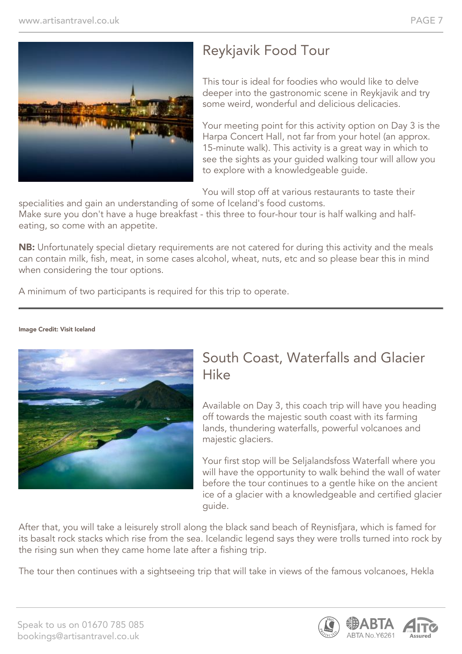

## Reykjavik Food Tour

This tour is ideal for foodies who would like to delve deeper into the gastronomic scene in Reykjavik and try some weird, wonderful and delicious delicacies.

Your meeting point for this activity option on Day 3 is the Harpa Concert Hall, not far from your hotel (an approx. 15-minute walk). This activity is a great way in which to see the sights as your guided walking tour will allow you to explore with a knowledgeable guide.

You will stop off at various restaurants to taste their

specialities and gain an understanding of some of Iceland's food customs. Make sure you don't have a huge breakfast - this three to four-hour tour is half walking and halfeating, so come with an appetite.

NB: Unfortunately special dietary requirements are not catered for during this activity and the meals can contain milk, fish, meat, in some cases alcohol, wheat, nuts, etc and so please bear this in mind when considering the tour options.

A minimum of two participants is required for this trip to operate.



#### Image Credit: Visit Iceland

### South Coast, Waterfalls and Glacier Hike

Available on Day 3, this coach trip will have you heading off towards the majestic south coast with its farming lands, thundering waterfalls, powerful volcanoes and majestic glaciers.

Your first stop will be Seljalandsfoss Waterfall where you will have the opportunity to walk behind the wall of water before the tour continues to a gentle hike on the ancient ice of a glacier with a knowledgeable and certified glacier guide.

After that, you will take a leisurely stroll along the black sand beach of Reynisfjara, which is famed for its basalt rock stacks which rise from the sea. Icelandic legend says they were trolls turned into rock by the rising sun when they came home late after a fishing trip.

The tour then continues with a sightseeing trip that will take in views of the famous volcanoes, Hekla

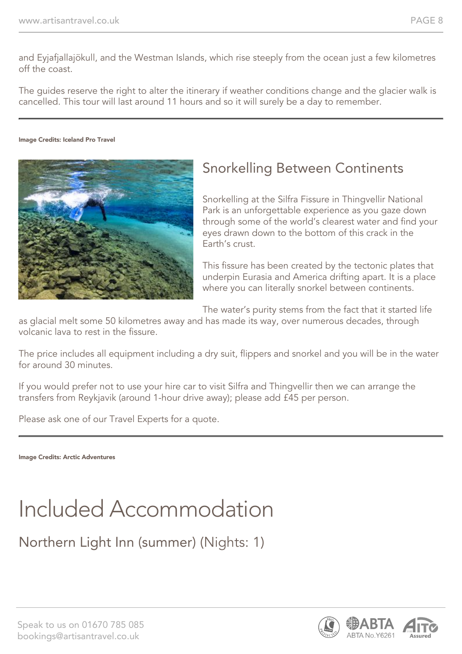and Eyjafjallajökull, and the Westman Islands, which rise steeply from the ocean just a few kilometres off the coast.

The guides reserve the right to alter the itinerary if weather conditions change and the glacier walk is cancelled. This tour will last around 11 hours and so it will surely be a day to remember.

#### Image Credits: Iceland Pro Travel



## Snorkelling Between Continents

Snorkelling at the Silfra Fissure in Thingvellir National Park is an unforgettable experience as you gaze down through some of the world's clearest water and find your eyes drawn down to the bottom of this crack in the Earth's crust.

This fissure has been created by the tectonic plates that underpin Eurasia and America drifting apart. It is a place where you can literally snorkel between continents.

The water's purity stems from the fact that it started life

as glacial melt some 50 kilometres away and has made its way, over numerous decades, through volcanic lava to rest in the fissure.

The price includes all equipment including a dry suit, flippers and snorkel and you will be in the water for around 30 minutes.

If you would prefer not to use your hire car to visit Silfra and Thingvellir then we can arrange the transfers from Reykjavik (around 1-hour drive away); please add £45 per person.

Please ask one of our Travel Experts for a quote.

Image Credits: Arctic Adventures

# Included Accommodation

Northern Light Inn (summer) (Nights: 1)

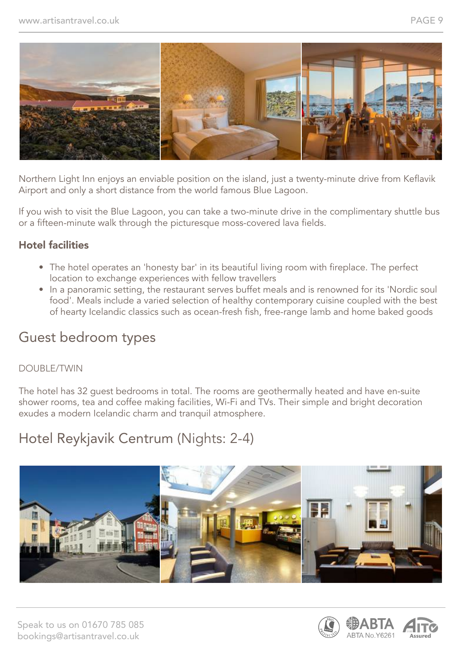

Northern Light Inn enjoys an enviable position on the island, just a twenty-minute drive from Keflavik Airport and only a short distance from the world famous Blue Lagoon.

If you wish to visit the Blue Lagoon, you can take a two-minute drive in the complimentary shuttle bus or a fifteen-minute walk through the picturesque moss-covered lava fields.

#### Hotel facilities

- The hotel operates an 'honesty bar' in its beautiful living room with fireplace. The perfect location to exchange experiences with fellow travellers
- In a panoramic setting, the restaurant serves buffet meals and is renowned for its 'Nordic soul food'. Meals include a varied selection of healthy contemporary cuisine coupled with the best of hearty Icelandic classics such as ocean-fresh fish, free-range lamb and home baked goods

### Guest bedroom types

#### DOUBLE/TWIN

The hotel has 32 guest bedrooms in total. The rooms are geothermally heated and have en-suite shower rooms, tea and coffee making facilities, Wi-Fi and TVs. Their simple and bright decoration exudes a modern Icelandic charm and tranquil atmosphere.

## Hotel Reykjavik Centrum (Nights: 2-4)



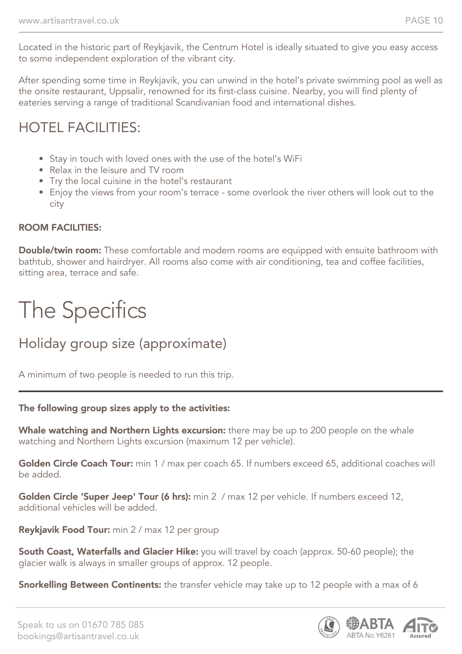Located in the historic part of Reykjavik, the Centrum Hotel is ideally situated to give you easy access to some independent exploration of the vibrant city.

After spending some time in Reykjavik, you can unwind in the hotel's private swimming pool as well as the onsite restaurant, Uppsalir, renowned for its first-class cuisine. Nearby, you will find plenty of eateries serving a range of traditional Scandivanian food and international dishes.

## HOTEL FACILITIES:

- Stay in touch with loved ones with the use of the hotel's WiFi
- Relax in the leisure and TV room
- Try the local cuisine in the hotel's restaurant
- Enjoy the views from your room's terrace some overlook the river others will look out to the city

#### ROOM FACILITIES:

**Double/twin room:** These comfortable and modern rooms are equipped with ensuite bathroom with bathtub, shower and hairdryer. All rooms also come with air conditioning, tea and coffee facilities, sitting area, terrace and safe.

# The Specifics

## Holiday group size (approximate)

A minimum of two people is needed to run this trip.

#### The following group sizes apply to the activities:

Whale watching and Northern Lights excursion: there may be up to 200 people on the whale watching and Northern Lights excursion (maximum 12 per vehicle).

Golden Circle Coach Tour: min 1 / max per coach 65. If numbers exceed 65, additional coaches will be added.

Golden Circle 'Super Jeep' Tour (6 hrs): min 2 / max 12 per vehicle. If numbers exceed 12, additional vehicles will be added.

Reykjavik Food Tour: min 2 / max 12 per group

South Coast, Waterfalls and Glacier Hike: you will travel by coach (approx. 50-60 people); the glacier walk is always in smaller groups of approx. 12 people.

**Snorkelling Between Continents:** the transfer vehicle may take up to 12 people with a max of 6